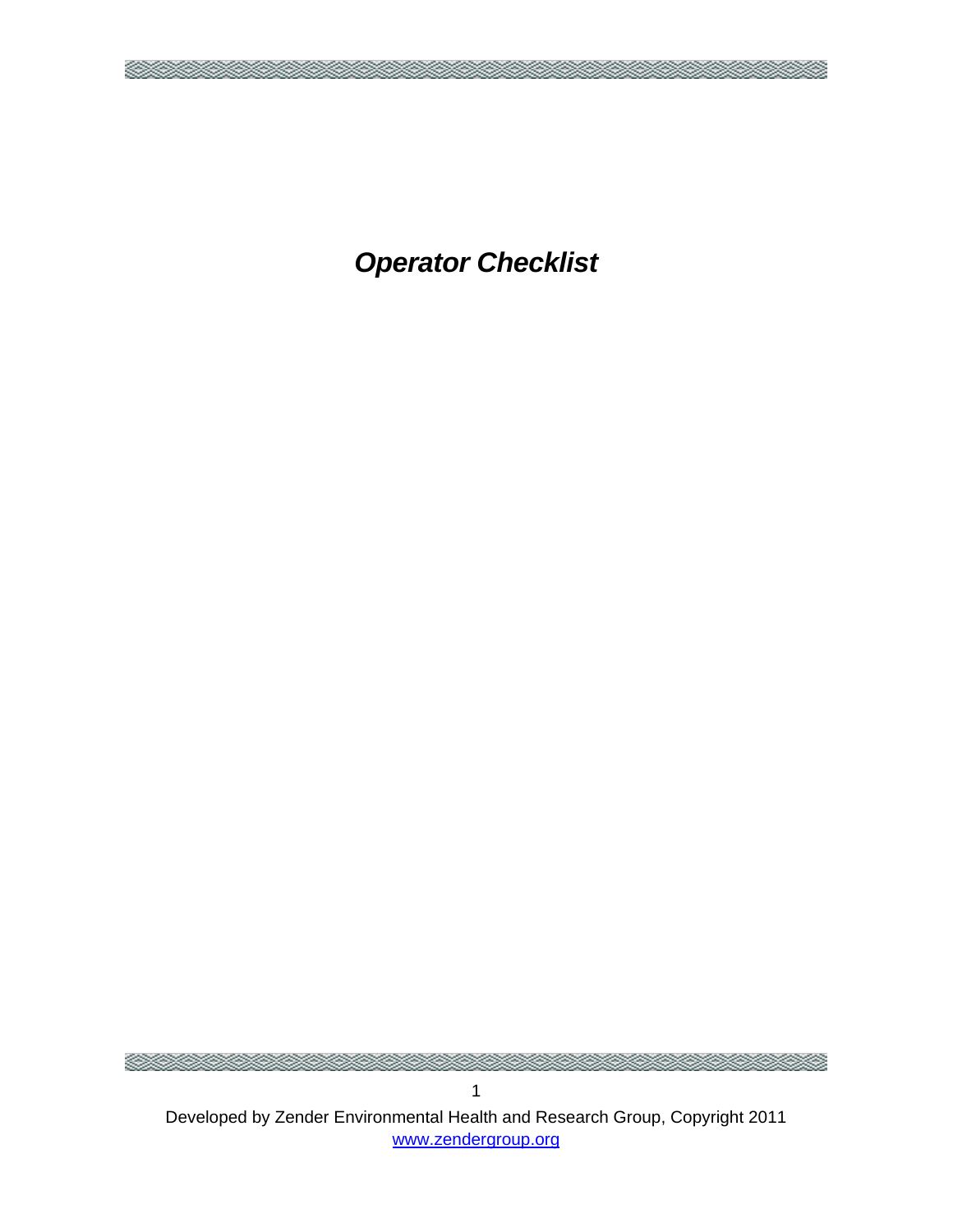*Operator Checklist* 

×

<u> Maria Maria I</u>

Developed by Zender Environmental Health and Research Group, Copyright 2011 www.zendergroup.org

×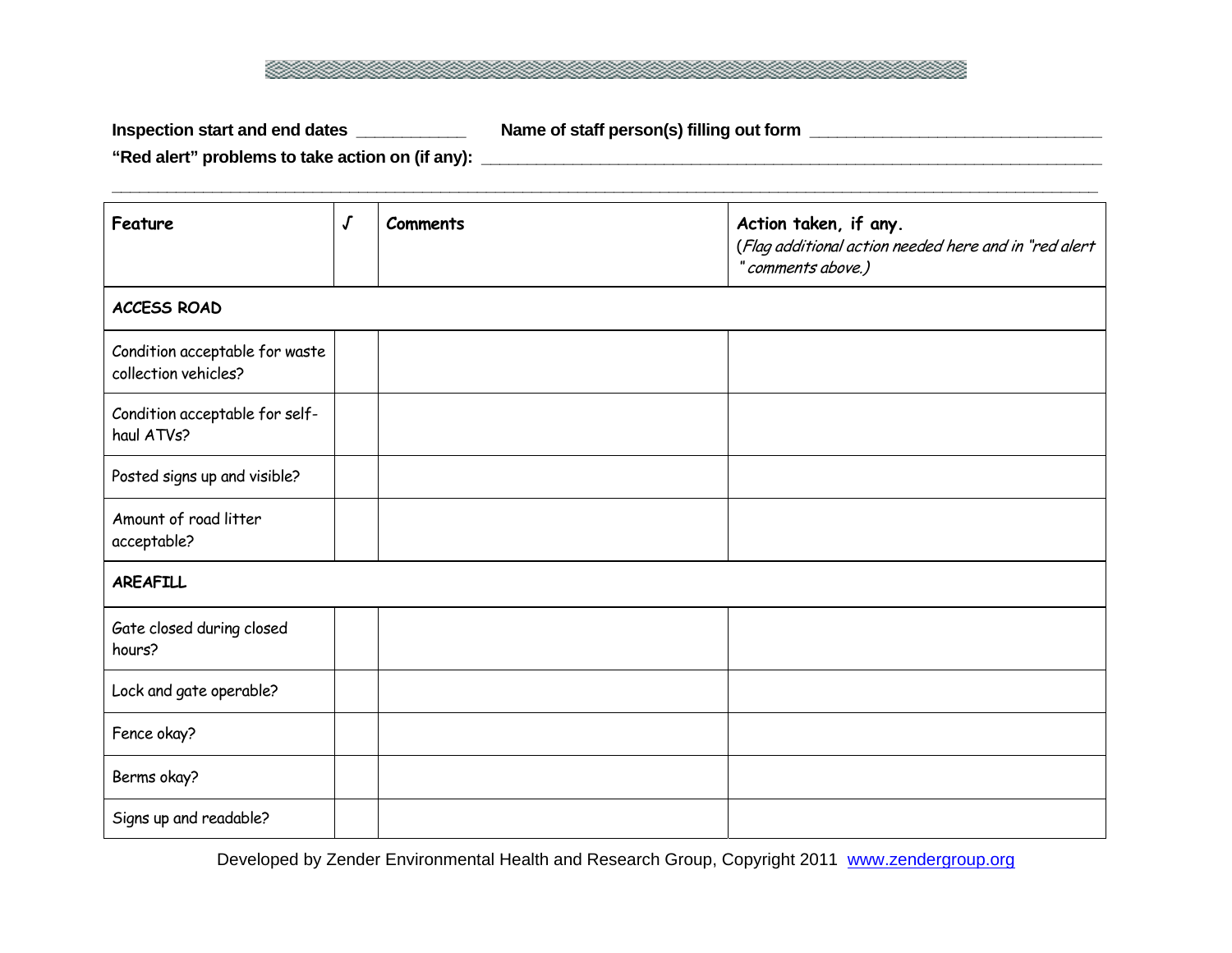

Inspection start and end dates \_\_\_\_\_\_\_\_\_\_\_\_\_\_ Name of staff person(s) filling out form \_\_\_\_\_\_\_\_\_\_\_\_\_\_\_\_\_\_\_\_\_\_\_

**"Red alert" problems to take action on (if any): \_\_\_\_\_\_\_\_\_\_\_\_\_\_\_\_\_\_\_\_\_\_\_\_\_\_\_\_\_\_\_\_\_\_\_\_\_\_\_\_\_\_\_\_\_\_\_\_\_\_\_\_\_\_\_\_\_\_\_\_\_\_\_\_\_\_\_\_** 

| Feature                                                | $\pmb{\mathcal{J}}$ | <b>Comments</b> | Action taken, if any.<br>(Flag additional action needed here and in "red alert<br>" comments above.) |  |
|--------------------------------------------------------|---------------------|-----------------|------------------------------------------------------------------------------------------------------|--|
| <b>ACCESS ROAD</b>                                     |                     |                 |                                                                                                      |  |
| Condition acceptable for waste<br>collection vehicles? |                     |                 |                                                                                                      |  |
| Condition acceptable for self-<br>haul ATVs?           |                     |                 |                                                                                                      |  |
| Posted signs up and visible?                           |                     |                 |                                                                                                      |  |
| Amount of road litter<br>acceptable?                   |                     |                 |                                                                                                      |  |
| <b>AREAFILL</b>                                        |                     |                 |                                                                                                      |  |
| Gate closed during closed<br>hours?                    |                     |                 |                                                                                                      |  |
| Lock and gate operable?                                |                     |                 |                                                                                                      |  |
| Fence okay?                                            |                     |                 |                                                                                                      |  |
| Berms okay?                                            |                     |                 |                                                                                                      |  |
| Signs up and readable?                                 |                     |                 |                                                                                                      |  |

Developed by Zender Environmental Health and Research Group, Copyright 2011 www.zendergroup.org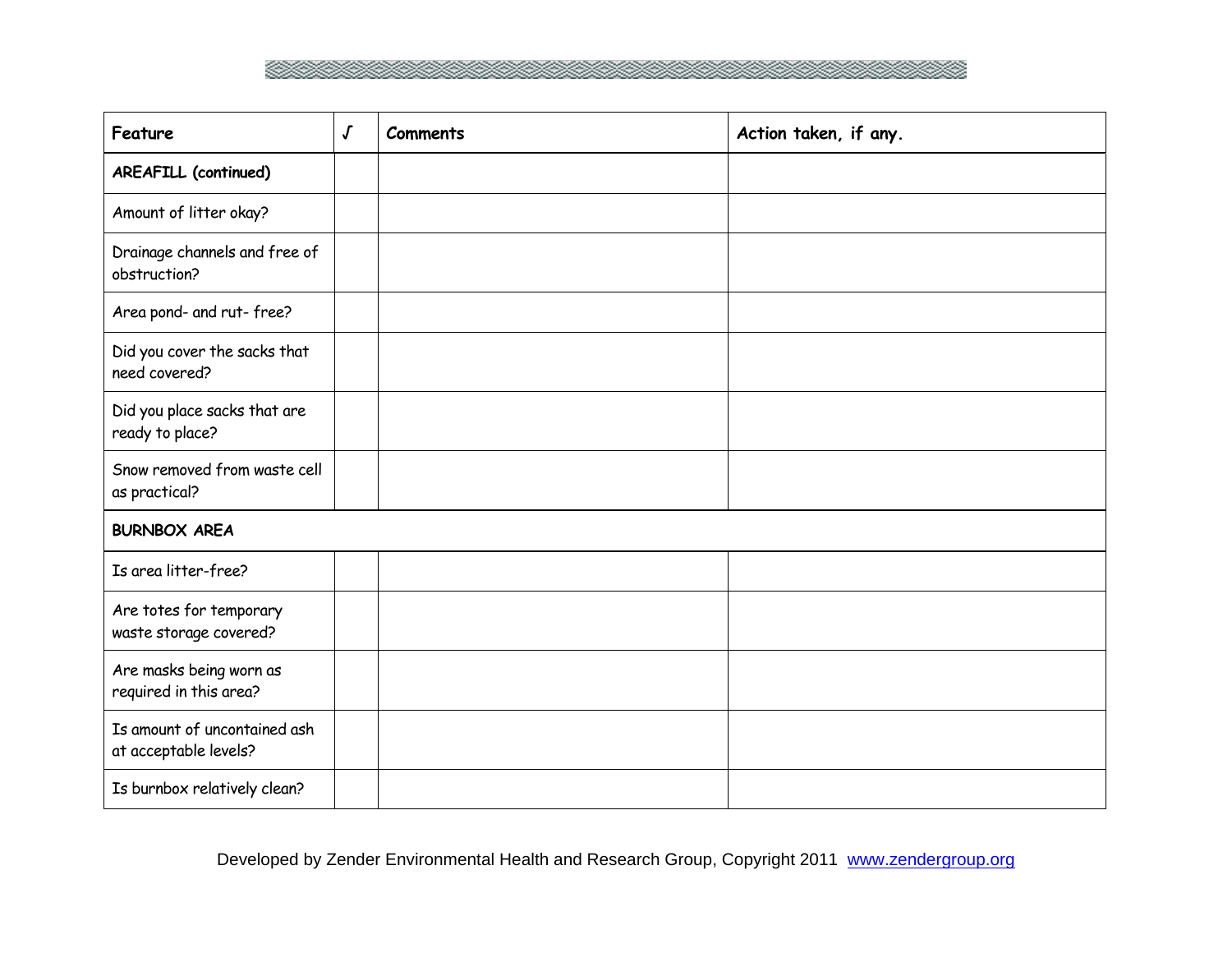

| Feature                                               | $\sqrt{ }$ | <b>Comments</b> | Action taken, if any. |
|-------------------------------------------------------|------------|-----------------|-----------------------|
| <b>AREAFILL (continued)</b>                           |            |                 |                       |
| Amount of litter okay?                                |            |                 |                       |
| Drainage channels and free of<br>obstruction?         |            |                 |                       |
| Area pond- and rut-free?                              |            |                 |                       |
| Did you cover the sacks that<br>need covered?         |            |                 |                       |
| Did you place sacks that are<br>ready to place?       |            |                 |                       |
| Snow removed from waste cell<br>as practical?         |            |                 |                       |
| <b>BURNBOX AREA</b>                                   |            |                 |                       |
| Is area litter-free?                                  |            |                 |                       |
| Are totes for temporary<br>waste storage covered?     |            |                 |                       |
| Are masks being worn as<br>required in this area?     |            |                 |                       |
| Is amount of uncontained ash<br>at acceptable levels? |            |                 |                       |
| Is burnbox relatively clean?                          |            |                 |                       |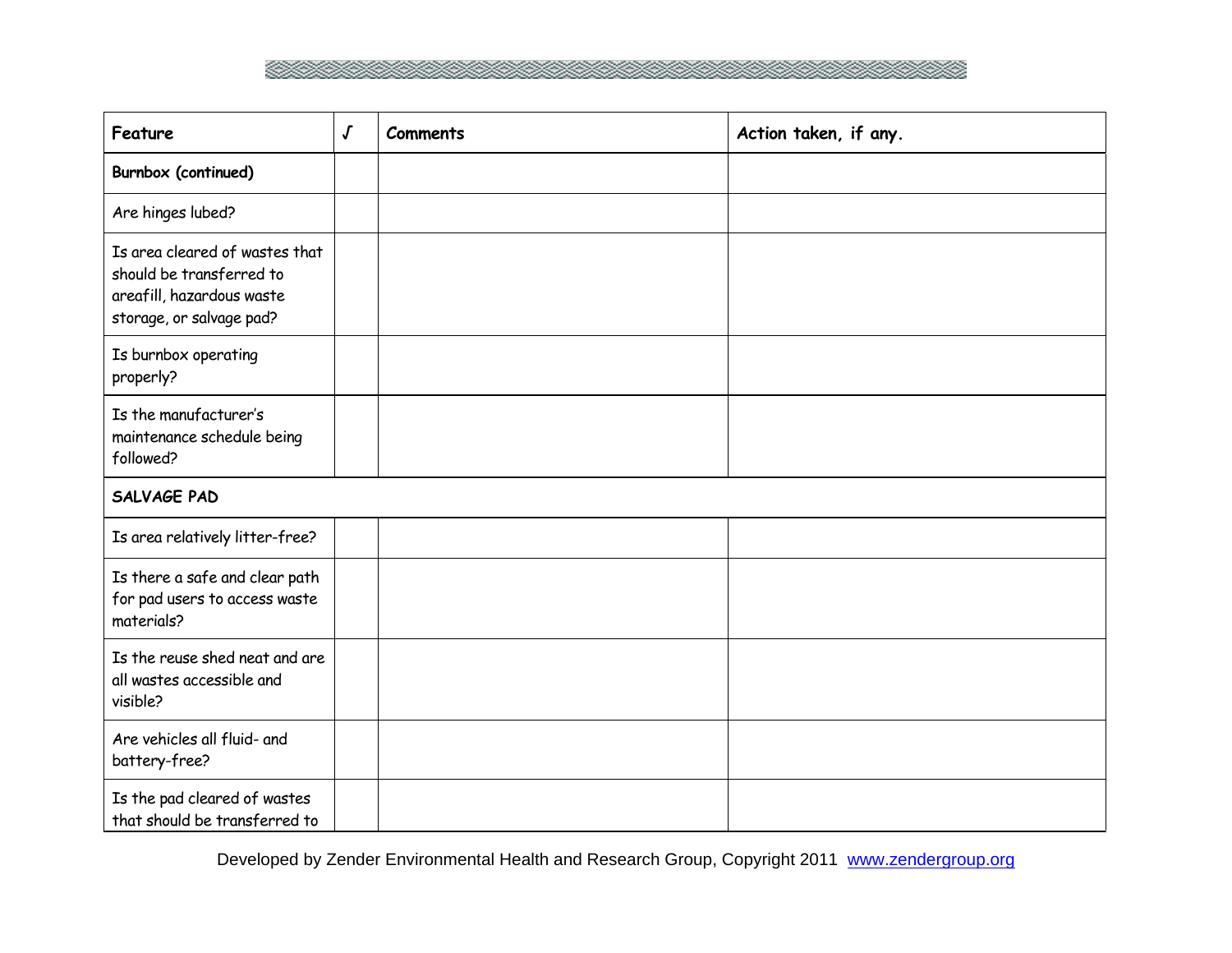

| Feature                                                                                                             | $\pmb{\mathcal{J}}$ | <b>Comments</b> | Action taken, if any. |
|---------------------------------------------------------------------------------------------------------------------|---------------------|-----------------|-----------------------|
| Burnbox (continued)                                                                                                 |                     |                 |                       |
| Are hinges lubed?                                                                                                   |                     |                 |                       |
| Is area cleared of wastes that<br>should be transferred to<br>areafill, hazardous waste<br>storage, or salvage pad? |                     |                 |                       |
| Is burnbox operating<br>properly?                                                                                   |                     |                 |                       |
| Is the manufacturer's<br>maintenance schedule being<br>followed?                                                    |                     |                 |                       |
| SALVAGE PAD                                                                                                         |                     |                 |                       |
| Is area relatively litter-free?                                                                                     |                     |                 |                       |
| Is there a safe and clear path<br>for pad users to access waste<br>materials?                                       |                     |                 |                       |
| Is the reuse shed neat and are<br>all wastes accessible and<br>visible?                                             |                     |                 |                       |
| Are vehicles all fluid- and<br>battery-free?                                                                        |                     |                 |                       |
| Is the pad cleared of wastes<br>that should be transferred to                                                       |                     |                 |                       |

Developed by Zender Environmental Health and Research Group, Copyright 2011 www.zendergroup.org